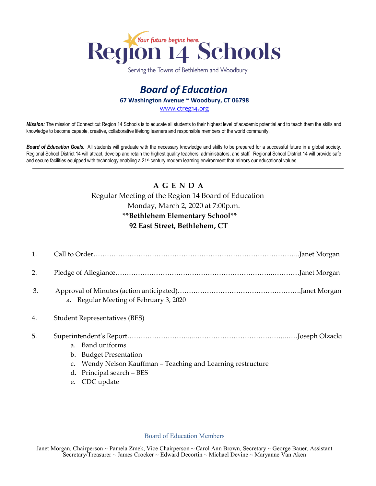

Serving the Towns of Bethlehem and Woodbury

# *Board of Education* **67 Washington Avenue ~ Woodbury, CT 06798** [www.ctreg14.org](http://www.ctreg14.org/)

*Mission:* The mission of Connecticut Region 14 Schools is to educate all students to their highest level of academic potential and to teach them the skills and knowledge to become capable, creative, collaborative lifelong learners and responsible members of the world community.

*Board of Education Goals:* All students will graduate with the necessary knowledge and skills to be prepared for a successful future in a global society. Regional School District 14 will attract, develop and retain the highest quality teachers, administrators, and staff. Regional School District 14 will provide safe and secure facilities equipped with technology enabling a 21<sup>st</sup> century modern learning environment that mirrors our educational values.

# **A G E N D A**  Regular Meeting of the Region 14 Board of Education

## Monday, March 2, 2020 at 7:00p.m.

#### **\*\*Bethlehem Elementary School\*\***

### **92 East Street, Bethlehem, CT**

| 2.               |                                        |  |
|------------------|----------------------------------------|--|
| 3.               | a. Regular Meeting of February 3, 2020 |  |
| $\overline{4}$ . | <b>Student Representatives (BES)</b>   |  |

# 5. Superintendent's Report………………………...…………………………………..……Joseph Olzacki

- a. Band uniforms
- b. Budget Presentation
- c. Wendy Nelson Kauffman Teaching and Learning restructure
- d. Principal search BES
- e. CDC update

#### Board of Education Members

Janet Morgan, Chairperson ~ Pamela Zmek, Vice Chairperson ~ Carol Ann Brown, Secretary ~ George Bauer, Assistant Secretary/Treasurer ~ James Crocker ~ Edward Decortin ~ Michael Devine ~ Maryanne Van Aken